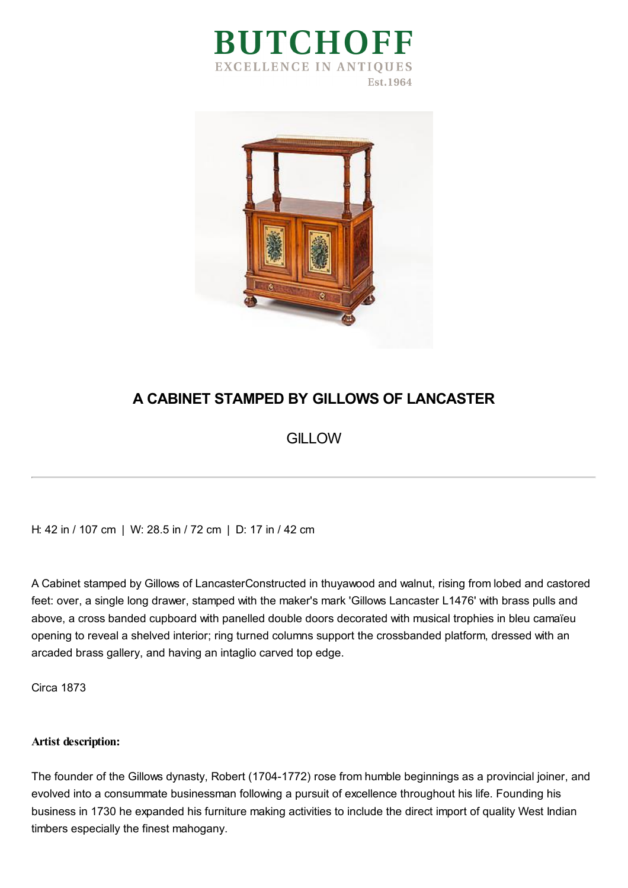



## **A CABINET STAMPED BY GILLOWS OF LANCASTER**

## **GILLOW**

H: 42 in / 107 cm | W: 28.5 in / 72 cm | D: 17 in / 42 cm

A Cabinet stamped by Gillows of LancasterConstructed in thuyawood and walnut, rising from lobed and castored feet: over, a single long drawer, stamped with the maker's mark 'Gillows Lancaster L1476' with brass pulls and above, a cross banded cupboard with panelled double doors decorated with musical trophies in bleu camaïeu opening to reveal a shelved interior; ring turned columns support the crossbanded platform, dressed with an arcaded brass gallery, and having an intaglio carved top edge.

Circa 1873

## **Artist description:**

The founder of the Gillows dynasty, Robert (1704-1772) rose from humble beginnings as a provincial joiner, and evolved into a consummate businessman following a pursuit of excellence throughout his life. Founding his business in 1730 he expanded his furniture making activities to include the direct import of quality West Indian timbers especially the finest mahogany.